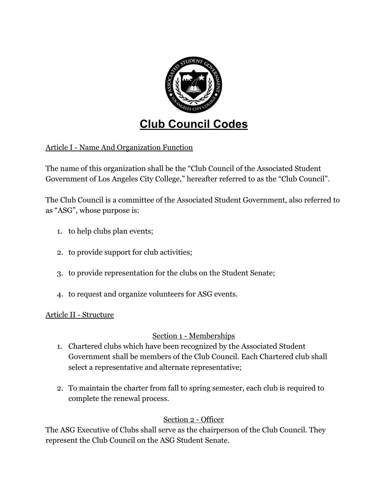

# **Club Council Codes**

Article I - Name And Organization Function

The name of this organization shall be the "Club Council of the Associated Student Government of Los Angeles City College," hereafter referred to as the "Club Council".

The Club Council is a committee of the Associated Student Government, also referred to as "ASG", whose purpose is:

- 1. to help clubs plan events;
- 2. to provide support for club activities;
- 3. to provide representation for the clubs on the Student Senate;
- 4. to request and organize volunteers for ASG events.

#### Article II - Structure

## Section 1 - Memberships

- 1. Chartered clubs which have been recognized by the Associated Student Government shall be members of the Club Council. Each Chartered club shall select a representative and alternate representative;
- 2. To maintain the charter from fall to spring semester, each club is required to complete the renewal process.

## Section 2 - Officer

The ASG Executive of Clubs shall serve as the chairperson of the Club Council. They represent the Club Council on the ASG Student Senate.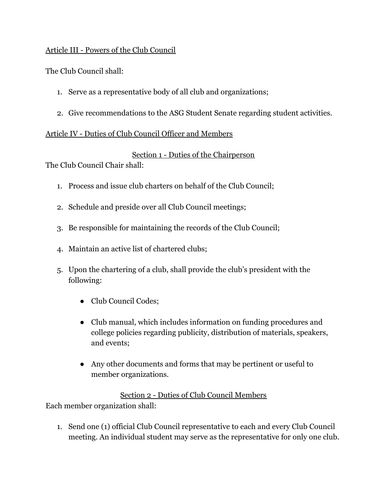#### Article III - Powers of the Club Council

The Club Council shall:

- 1. Serve as a representative body of all club and organizations;
- 2. Give recommendations to the ASG Student Senate regarding student activities.

## Article IV - Duties of Club Council Officer and Members

## Section 1 - Duties of the Chairperson

The Club Council Chair shall:

- 1. Process and issue club charters on behalf of the Club Council;
- 2. Schedule and preside over all Club Council meetings;
- 3. Be responsible for maintaining the records of the Club Council;
- 4. Maintain an active list of chartered clubs;
- 5. Upon the chartering of a club, shall provide the club's president with the following:
	- Club Council Codes;
	- Club manual, which includes information on funding procedures and college policies regarding publicity, distribution of materials, speakers, and events;
	- Any other documents and forms that may be pertinent or useful to member organizations.

Section 2 - Duties of Club Council Members Each member organization shall:

1. Send one (1) official Club Council representative to each and every Club Council meeting. An individual student may serve as the representative for only one club.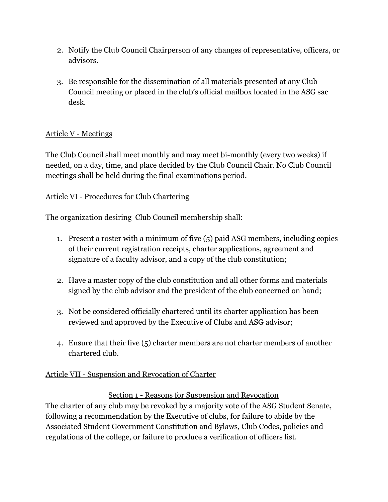- 2. Notify the Club Council Chairperson of any changes of representative, officers, or advisors.
- 3. Be responsible for the dissemination of all materials presented at any Club Council meeting or placed in the club's official mailbox located in the ASG sac desk.

# Article V - Meetings

The Club Council shall meet monthly and may meet bi-monthly (every two weeks) if needed, on a day, time, and place decided by the Club Council Chair. No Club Council meetings shall be held during the final examinations period.

# Article VI - Procedures for Club Chartering

The organization desiring Club Council membership shall:

- 1. Present a roster with a minimum of five (5) paid ASG members, including copies of their current registration receipts, charter applications, agreement and signature of a faculty advisor, and a copy of the club constitution;
- 2. Have a master copy of the club constitution and all other forms and materials signed by the club advisor and the president of the club concerned on hand;
- 3. Not be considered officially chartered until its charter application has been reviewed and approved by the Executive of Clubs and ASG advisor;
- 4. Ensure that their five (5) charter members are not charter members of another chartered club.

## Article VII - Suspension and Revocation of Charter

Section 1 - Reasons for Suspension and Revocation The charter of any club may be revoked by a majority vote of the ASG Student Senate, following a recommendation by the Executive of clubs, for failure to abide by the Associated Student Government Constitution and Bylaws, Club Codes, policies and regulations of the college, or failure to produce a verification of officers list.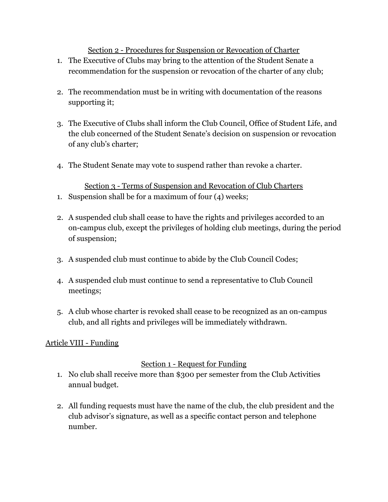Section 2 - Procedures for Suspension or Revocation of Charter

- 1. The Executive of Clubs may bring to the attention of the Student Senate a recommendation for the suspension or revocation of the charter of any club;
- 2. The recommendation must be in writing with documentation of the reasons supporting it;
- 3. The Executive of Clubs shall inform the Club Council, Office of Student Life, and the club concerned of the Student Senate's decision on suspension or revocation of any club's charter;
- 4. The Student Senate may vote to suspend rather than revoke a charter.

Section 3 - Terms of Suspension and Revocation of Club Charters 1. Suspension shall be for a maximum of four (4) weeks;

- 2. A suspended club shall cease to have the rights and privileges accorded to an on-campus club, except the privileges of holding club meetings, during the period of suspension;
- 3. A suspended club must continue to abide by the Club Council Codes;
- 4. A suspended club must continue to send a representative to Club Council meetings;
- 5. A club whose charter is revoked shall cease to be recognized as an on-campus club, and all rights and privileges will be immediately withdrawn.

# Article VIII - Funding

## Section 1 - Request for Funding

- 1. No club shall receive more than \$300 per semester from the Club Activities annual budget.
- 2. All funding requests must have the name of the club, the club president and the club advisor's signature, as well as a specific contact person and telephone number.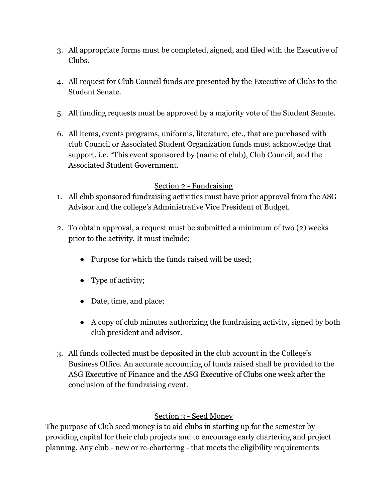- 3. All appropriate forms must be completed, signed, and filed with the Executive of Clubs.
- 4. All request for Club Council funds are presented by the Executive of Clubs to the Student Senate.
- 5. All funding requests must be approved by a majority vote of the Student Senate.
- 6. All items, events programs, uniforms, literature, etc., that are purchased with club Council or Associated Student Organization funds must acknowledge that support, i.e. "This event sponsored by (name 0f club), Club Council, and the Associated Student Government.

#### Section 2 - Fundraising

- 1. All club sponsored fundraising activities must have prior approval from the ASG Advisor and the college's Administrative Vice President of Budget.
- 2. To obtain approval, a request must be submitted a minimum of two (2) weeks prior to the activity. It must include:
	- Purpose for which the funds raised will be used;
	- Type of activity;
	- Date, time, and place;
	- A copy of club minutes authorizing the fundraising activity, signed by both club president and advisor.
- 3. All funds collected must be deposited in the club account in the College's Business Office. An accurate accounting of funds raised shall be provided to the ASG Executive of Finance and the ASG Executive of Clubs one week after the conclusion of the fundraising event.

## Section 3 - Seed Money

The purpose of Club seed money is to aid clubs in starting up for the semester by providing capital for their club projects and to encourage early chartering and project planning. Any club - new or re-chartering - that meets the eligibility requirements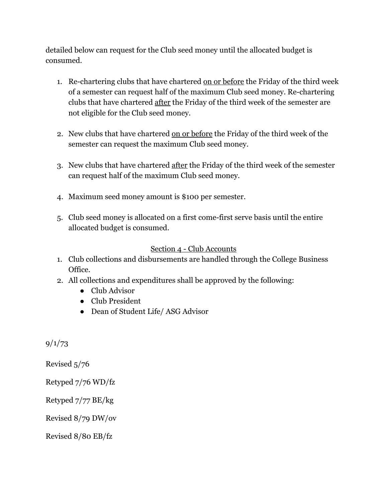detailed below can request for the Club seed money until the allocated budget is consumed.

- 1. Re-chartering clubs that have chartered on or before the Friday of the third week of a semester can request half of the maximum Club seed money. Re-chartering clubs that have chartered after the Friday of the third week of the semester are not eligible for the Club seed money.
- 2. New clubs that have chartered on or before the Friday of the third week of the semester can request the maximum Club seed money.
- 3. New clubs that have chartered after the Friday of the third week of the semester can request half of the maximum Club seed money.
- 4. Maximum seed money amount is \$100 per semester.
- 5. Club seed money is allocated on a first come-first serve basis until the entire allocated budget is consumed.

## Section 4 - Club Accounts

- 1. Club collections and disbursements are handled through the College Business Office.
- 2. All collections and expenditures shall be approved by the following:
	- Club Advisor
	- Club President
	- Dean of Student Life/ ASG Advisor

9/1/73

Revised 5/76

Retyped 7/76 WD/fz

Retyped 7/77 BE/kg

Revised 8/79 DW/ov

Revised 8/80 EB/fz